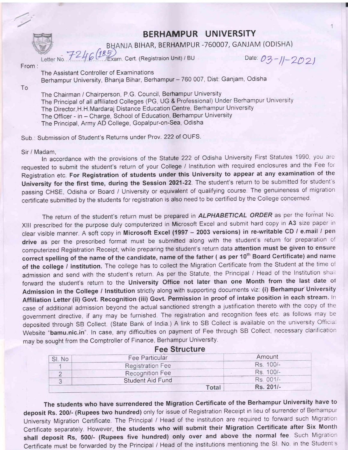BHANJA BIHAR, BERHAMPUR -760007, GANJAM (ODISHA)

Letter No.  $724$ Cert. (Registraion Unit) / BU

Date: 03-11-2021

From :

The Assistant Controller of Examinations Berhampur University, Bhanja Bihar, Berhampur - 760 007, Dist: Ganjam, Odisha

To

The Chairman / Chairperson, P.G. Council, Berhampur University The Principal of all affiliated Colleges (PG, UG & Professional) Under Berhampur University The Director,H. H.Mardaraj Distance Education Centre, Berhampur University The Officer - in - Charge, School of Education, Berhampur University The Principal, Army AD College, Gopalpur-on-Sea, Odisha

Sub.: Submission of Student's Returns under Prov.222 of OUFS.

Sir / Madam,

In accordance with the provisions of the Statute 222 of Odisha University First Statutes 1990, you are requested to submit the student's return of your College / Institution with required enclosures and the Fee for Registration etc. For Registration of students under this University to appear at any examination of the University for the first time, during the Session 2021-22. The student's return to be submitted for student's passing CHSE, Odisha or Board / University or equivalent of qualifying course. The genuineness of migration certificate submitted by the students for registration is also need to be certified by the College concerned

The return of the student's return must be prepared in ALPHABETICAL ORDER as per the format No. XIII prescribed for the purpose duly computerized in Microsoft Excel and submit hard copy in A3 size paper in clear visible manner. A soft copy in Microsoft Excel (1997 - 2003 versions) in re-writable CD / e.mail / pen drive as per the prescribed format must be submitted along with the student's return for preparation of computerized Registration Receipt, while preparing the student's return data attention must be given to ensure correct spelling of the name of the candidate, name of the father (as per 10<sup>th</sup> Board Certificate) and name of the college / institution. The college has to collect the Migration Certificate from the Student at the time of admission and send with the student's return. As per the Statute, the Principal / Head of the Institution shall forward the student's return to the University Office not later than one Month from the last date of Admission in the College / Institution strictly along with supporting documents viz: (i) Berhampur' University Affiliation Letter (ii) Govt. Recognition (iii) Govt. Permission in proof of intake position in each stream. In case of additional admission beyond the actual sanctioned strength a justification thereto with the copy of the government directive, if any may be furnished. The registration and recognition fees etc. as follows may be deposited through SB Collect. (State Bank of India.) A link to SB Collect is available on the university Official Website "bamu.nic.in". In case, any difficulties on payment of Fee through SB Collect, necessary clarification may be sought from the Comptroller of Finance, Berhampur University

| <b>Fee Particular</b> |                                                                | Amount    |  |
|-----------------------|----------------------------------------------------------------|-----------|--|
|                       |                                                                | Rs. 100/- |  |
|                       |                                                                | Rs. 100/- |  |
|                       |                                                                | Rs 001/-  |  |
|                       | Total                                                          | Rs. 201/- |  |
|                       | <b>Registration Fee</b><br>Recognition Fee<br>Student Aid Fund |           |  |

Fee Structure

The students who have surrendered the Migration Certificate of the Berhampur University have to deposit Rs. 200/- (Rupees two hundred) only for issue of Registration Receipt in lieu of surrender of Berhampur University Migration Certificate. The Principal / Head of the institution are required to forward such Migration Certificate separately. However, the students who will submit their Migration Certificate after Six Month shall deposit Rs, 500/- (Rupees five hundred) only over and above the normal fee. Such Migration Certificate must be forwarded by the Principal / Head of the institutions mentioning the SI. No. in the Student's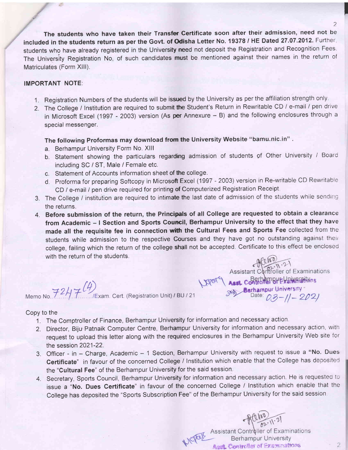The students who have taken their Transfer Gertificate soon after their admission, need not be included in the students return as per the Govt. of Odisha Letter No. 19378 / HE Dated 27.07.2012. Further, students who have already registered in the University need not deposit the Registration and Recognition Fees. The University Registration No, of such candidates must be mentioned against their names in the return of Matriculates (Form XIII).

#### IMPORTANT NOTE:

题

- 1. Registration Numbers of the students will be issued by the University as per the affiliation strength only.
- 2. The College / Institution are required to submit the Student's Return in Rewritable CD / e-mail / pen drive in Microsoft Excel (1997 - 2003) version (As per Annexure - B) and the following enclosures through a special messenger.

The following Proformas may download from the University Website "bamu.nic.in".

- a. Berhampur University Form No. Xlll
- b. Statement showing the particulars regarding admission of students of Other University / Board including SC / ST, Male / Female etc,
- c. Statement of Accounts information sheet of the college.
- d. Proforma for preparing Softcopy in Microsoft Excel (1997 2003) version in Re-writable CD Rewritable CD / e-mail / pen drive required for printing of Computerized Registration Receipt.
- 3. The College / institution are required to intimate the last date of admission of the students while sending the returns.
- 4. Before submission of the return, the Principals of all College are requested to obtain a clearance from Academic - I Section and Sports Council, Berhampur University to the effect that they have made all the requisite fee in connection with the Cultural Fees and Sports Fee collected from the students while admission to the respective Courses and they have got no outstanding against their college, failing which the return of the college shall not be accepted. Certificate to this effect be enclosed with the return of the students.

Memo No.  $7247$   $(4)$  Exam. Cert. (Registration Unit) / BU / 21

Assistant Controller of Examinations<br>
LEVER CONTROLLER SET AREA CONTROLLER SERVICES SUBSTANCES ON THE CONTROLLER SET OF THE CONTROLLER SET OF THE CONTROLLER SET OF THE CONTROLLER SET OF THE CONTROLLER SERVICE SET OF THE CO

#### Copy to the

- 1. The Comptroller of Finance, Berhampur University for information and necessary action.
- 2. Director, Biju Patnaik Computer Centre, Berhampur University for information and necessary action, with request to upload this letter along with the required enclosures in the Berhampur University Web site for the session 2021-22.
- 3. Officer in Charge, Academic 1 Section, Berhampur University with request to issue a "No. Dues Certificate" in favour of the concerned College / Institution which enable that the College has deposited the "Cultural Fee" of the Berhampur University for the said session.
- 4. Secretary, Sports Council, Berhampur University for information and necessary action. He is requested ic issue a "No. Dues Certificate" in favour of the concerned College / Institution which enable that the College has deposited the "Sports Subscription Fee" of the Berhampur University for the said session.

Assistant Controller of Examinations<br>Berhampur University **Asst. Controller of Examinations** 

 $\overline{2}$ 

I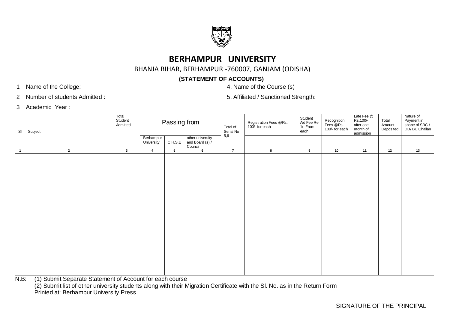

BHANJA BIHAR, BERHAMPUR -760007, GANJAM (ODISHA)

## **(STATEMENT OF ACCOUNTS)**

1 Name of the College: 4. Name of the Course (s)

2 Number of students Admitted : 5. Affiliated / Sanctioned Strength:

3 Academic Year :

| SI             | Subject                                                    | Total<br>Student<br>Admitted |                         | Passing from |                                                | Total of<br>Serial No<br>5,6 | Registration Fees @Rs.<br>100/- for each | Student<br>Aid Fee Re<br>1/- From<br>each | Recognition<br>Fees @Rs.<br>100/- for each | Late Fee @<br>Rs.100/-<br>after one<br>month of<br>admission | Total<br>Amount<br>Deposited | Nature of<br>Payment in<br>shape of SBC /<br>DD/ BU Challan |
|----------------|------------------------------------------------------------|------------------------------|-------------------------|--------------|------------------------------------------------|------------------------------|------------------------------------------|-------------------------------------------|--------------------------------------------|--------------------------------------------------------------|------------------------------|-------------------------------------------------------------|
|                |                                                            |                              | Berhampur<br>University | C.H.S.E      | other university<br>and Board (s) /<br>Council |                              |                                          |                                           |                                            |                                                              |                              |                                                             |
| $\overline{1}$ | $\overline{2}$                                             | $\overline{\mathbf{3}}$      | $\overline{4}$          | 5            | 6                                              | $\overline{7}$               | ಕ                                        | $\overline{\bullet}$                      | 10                                         | 11                                                           | 12                           | 13                                                          |
|                | $\sim$ $\sim$ $\sim$ $\sim$ $\sim$ $\sim$ $\sim$<br>$\sim$ | $\sim$ $\sim$                |                         |              |                                                |                              |                                          |                                           |                                            |                                                              |                              |                                                             |

N.B: (1) Submit Separate Statement of Account for each course

(2) Submit list of other university students along with their Migration Certificate with the Sl. No. as in the Return Form

Printed at: Berhampur University Press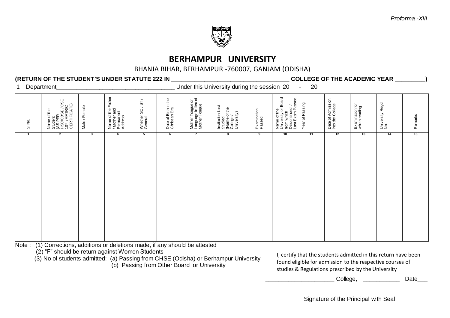

#### BHANJA BIHAR, BERHAMPUR -760007, GANJAM (ODISHA)

#### **(RETURN OF THE STUDENT'S UNDER STATUTE 222 IN \_\_\_\_\_\_\_\_\_\_\_\_\_\_\_\_\_\_\_\_\_\_\_\_\_\_\_\_\_\_\_\_\_\_\_\_ COLLEGE OF THE ACADEMIC YEAR \_\_\_\_\_\_\_\_\_)**

1 Department **1** Department **1** Department **1** Department

| SI No.<br>$\mathbf{1}$ | Name of the<br>Student<br>(AS PER<br>HSC/CBSE /ICSE<br>10™ /MATRIC<br>CERTIFICATE)<br>$\mathbf{2}$ | Male / Female<br>3 | Name of the Father<br>/ Mother and<br>Permanent<br>Address<br>$\overline{4}$ | $\overline{\phantom{a}}$<br>18/<br>Whether SC /<br>General<br>5 | Date of Birth in the<br>Christian Era<br>$6\overline{6}$ | Mother Tongue or<br>Language in lieu of<br>Mother Tongue<br>$\overline{7}$ | Institution Last<br>Studied<br>(Name of the<br>College /<br>University)<br>8 | Examination<br>Passed<br>$\overline{9}$ | Name of the<br>University or Board<br>from which<br>Discontinued /<br>Last Exam Passed<br>10 | Year of Passing<br>11 | Date of Admission<br>into the College<br>12 | Examination for<br>which reading<br>13 | University Regd<br>No.<br>14 | Remarks<br>15 |
|------------------------|----------------------------------------------------------------------------------------------------|--------------------|------------------------------------------------------------------------------|-----------------------------------------------------------------|----------------------------------------------------------|----------------------------------------------------------------------------|------------------------------------------------------------------------------|-----------------------------------------|----------------------------------------------------------------------------------------------|-----------------------|---------------------------------------------|----------------------------------------|------------------------------|---------------|
|                        |                                                                                                    |                    |                                                                              |                                                                 |                                                          |                                                                            |                                                                              |                                         |                                                                                              |                       |                                             |                                        |                              |               |
|                        |                                                                                                    |                    |                                                                              |                                                                 |                                                          |                                                                            |                                                                              |                                         |                                                                                              |                       |                                             |                                        |                              |               |

Note : (1) Corrections, additions or deletions made, if any should be attested

(2) "F" should be return against Women Students

(3) No of students admitted: (a) Passing from CHSE (Odisha) or Berhampur University

(b) Passing from Other Board or University

I, certify that the students admitted in this return have been found eligible for admission to the respective courses of studies & Regulations prescribed by the University

\_ College, \_\_\_\_\_\_\_\_\_\_\_\_ Date\_\_\_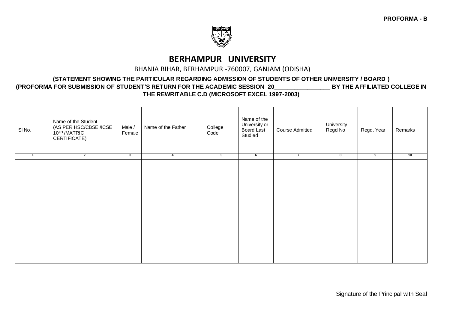

#### BHANJA BIHAR, BERHAMPUR -760007, GANJAM (ODISHA)

#### **(STATEMENT SHOWING THE PARTICULAR REGARDING ADMISSION OF STUDENTS OF OTHER UNIVERSITY / BOARD ) (PROFORMA FOR SUBMISSION OF STUDENT'S RETURN FOR THE ACADEMIC SESSION 20\_\_\_\_\_\_\_\_\_\_\_\_\_\_\_\_\_ BY THE AFFILIATED COLLEGE IN THE REWRITABLE C.D (MICROSOFT EXCEL 1997-2003)**

| SI No.       | Name of the Student<br>(AS PER HSC/CBSE /ICSE<br>10™/MATRIC<br>CERTIFICATE) | Male /<br>Female | Name of the Father | College<br>Code          | Name of the<br>University or<br>Board Last<br>Studied | <b>Course Admitted</b> | University<br>Regd No | Regd. Year | Remarks |
|--------------|-----------------------------------------------------------------------------|------------------|--------------------|--------------------------|-------------------------------------------------------|------------------------|-----------------------|------------|---------|
| $\mathbf{1}$ | $\overline{2}$                                                              | د                | 4                  | $\overline{\phantom{a}}$ | $6\overline{6}$                                       | $\overline{7}$         | 8                     | 9          | 10      |
|              |                                                                             |                  |                    |                          |                                                       |                        |                       |            |         |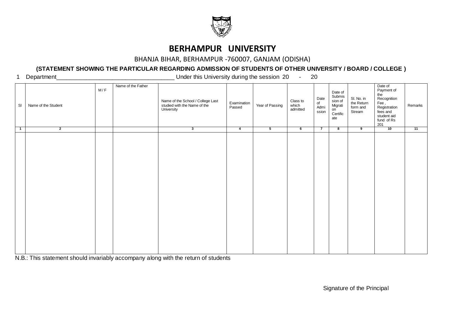

#### BHANJA BIHAR, BERHAMPUR -760007, GANJAM (ODISHA)

### **(STATEMENT SHOWING THE PARTICULAR REGARDING ADMISSION OF STUDENTS OF OTHER UNIVERSITY / BOARD / COLLEGE )**

1 Department **1** Department **1** Department **1** Department

| SI                         | Name of the Student | M/F | Name of the Father | Name of the School / College Last<br>studied with the Name of the<br>University | Examination<br>Passed | Year of Passing | Class to<br>which<br>admitted | Date<br>of<br>Admi<br>ssion | Date of<br>Submis<br>sion of<br>Migrati<br>on<br>Certific<br>ate | SI. No. in<br>the Return<br>form and<br>Stream | Date of<br>Payment of<br>the<br>Recognition<br>Fee ,<br>Registration<br>fees and<br>student aid<br>fund of Rs<br>201 | Remarks |
|----------------------------|---------------------|-----|--------------------|---------------------------------------------------------------------------------|-----------------------|-----------------|-------------------------------|-----------------------------|------------------------------------------------------------------|------------------------------------------------|----------------------------------------------------------------------------------------------------------------------|---------|
| $\overline{\phantom{1}}$ 1 | $\overline{2}$      |     |                    | 3                                                                               | $\overline{4}$        | $5^{\circ}$     | 6                             | $\overline{7}$              | ೫                                                                | $\overline{9}$                                 | 10                                                                                                                   | 11      |
|                            |                     |     |                    |                                                                                 |                       |                 |                               |                             |                                                                  |                                                |                                                                                                                      |         |

N.B.: This statement should invariably accompany along with the return of students